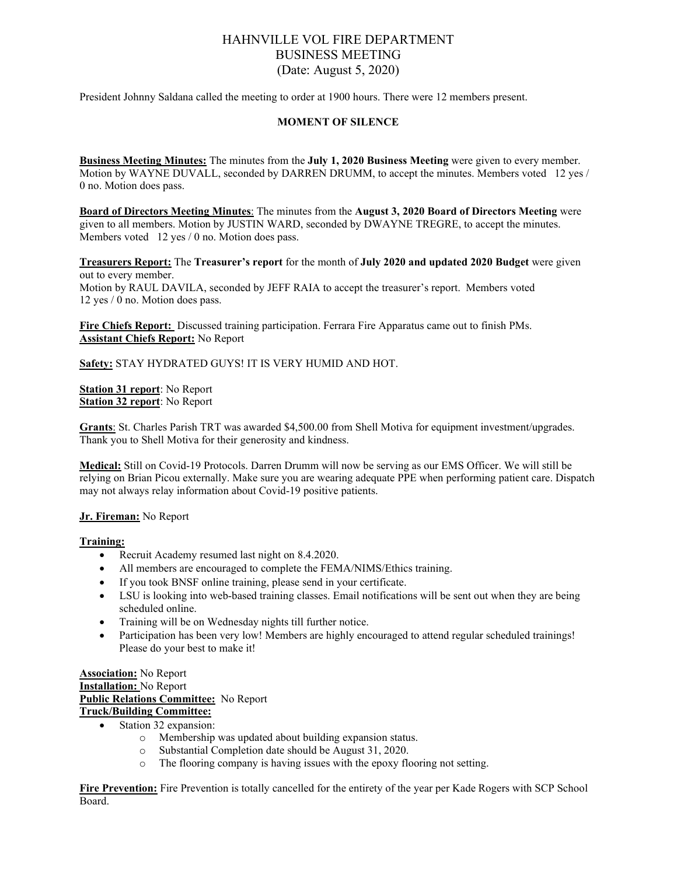# HAHNVILLE VOL FIRE DEPARTMENT BUSINESS MEETING (Date: August 5, 2020)

President Johnny Saldana called the meeting to order at 1900 hours. There were 12 members present.

### **MOMENT OF SILENCE**

**Business Meeting Minutes:** The minutes from the **July 1, 2020 Business Meeting** were given to every member. Motion by WAYNE DUVALL, seconded by DARREN DRUMM, to accept the minutes. Members voted 12 yes / 0 no. Motion does pass.

**Board of Directors Meeting Minutes**: The minutes from the **August 3, 2020 Board of Directors Meeting** were given to all members. Motion by JUSTIN WARD, seconded by DWAYNE TREGRE, to accept the minutes. Members voted 12 yes / 0 no. Motion does pass.

**Treasurers Report:** The **Treasurer's report** for the month of **July 2020 and updated 2020 Budget** were given out to every member. Motion by RAUL DAVILA, seconded by JEFF RAIA to accept the treasurer's report. Members voted 12 yes / 0 no. Motion does pass.

**Fire Chiefs Report:** Discussed training participation. Ferrara Fire Apparatus came out to finish PMs. **Assistant Chiefs Report:** No Report

**Safety:** STAY HYDRATED GUYS! IT IS VERY HUMID AND HOT.

**Station 31 report**: No Report **Station 32 report**: No Report

**Grants**: St. Charles Parish TRT was awarded \$4,500.00 from Shell Motiva for equipment investment/upgrades. Thank you to Shell Motiva for their generosity and kindness.

**Medical:** Still on Covid-19 Protocols. Darren Drumm will now be serving as our EMS Officer. We will still be relying on Brian Picou externally. Make sure you are wearing adequate PPE when performing patient care. Dispatch may not always relay information about Covid-19 positive patients.

### **Jr. Fireman:** No Report

#### **Training:**

- Recruit Academy resumed last night on 8.4.2020.
- All members are encouraged to complete the FEMA/NIMS/Ethics training.
- If you took BNSF online training, please send in your certificate.
- LSU is looking into web-based training classes. Email notifications will be sent out when they are being scheduled online.
- Training will be on Wednesday nights till further notice.
- Participation has been very low! Members are highly encouraged to attend regular scheduled trainings! Please do your best to make it!

#### **Association:** No Report **Installation:** No Report **Public Relations Committee:** No Report **Truck/Building Committee:**

- Station 32 expansion:
	-
	- o Membership was updated about building expansion status.
	- $\circ$  Substantial Completion date should be August 31, 2020.<br>  $\circ$  The flooring company is having issues with the enoxy flo The flooring company is having issues with the epoxy flooring not setting.

**Fire Prevention:** Fire Prevention is totally cancelled for the entirety of the year per Kade Rogers with SCP School Board.